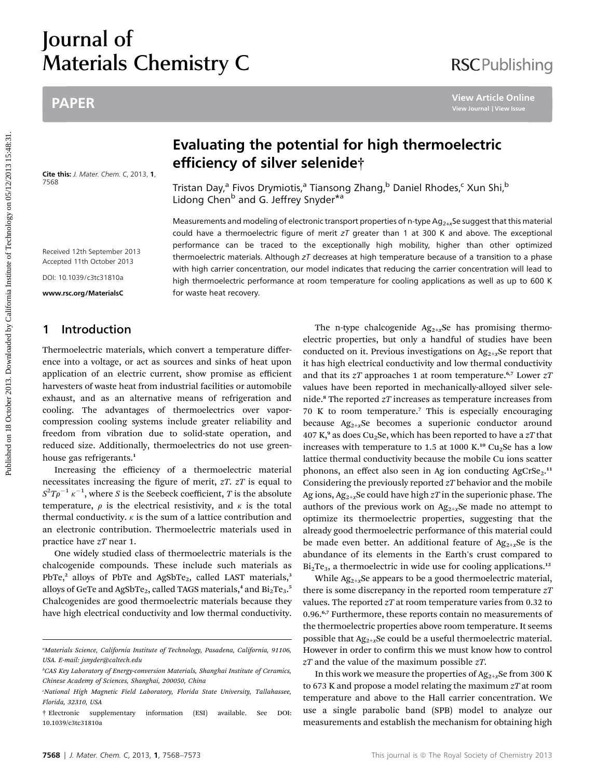# Journal of Materials Chemistry C

## PAPER

Cite this: J. Mater. Chem. C, 2013, 1, 7568

# **RSCPublishing**

# Evaluating the potential for high thermoelectric efficiency of silver selenide†

Tristan Day,<sup>a</sup> Fivos Drymiotis,<sup>a</sup> Tiansong Zhang,<sup>b</sup> Daniel Rhodes,<sup>c</sup> Xun Shi,<sup>b</sup> Lidong Chen<sup>b</sup> and G. Jeffrey Snyder<sup>\*a</sup>

Measurements and modeling of electronic transport properties of n-type  $Ag_{2+x}$ Se suggest that this material could have a thermoelectric figure of merit  $zT$  greater than 1 at 300 K and above. The exceptional performance can be traced to the exceptionally high mobility, higher than other optimized thermoelectric materials. Although  $zT$  decreases at high temperature because of a transition to a phase with high carrier concentration, our model indicates that reducing the carrier concentration will lead to high thermoelectric performance at room temperature for cooling applications as well as up to 600 K for waste heat recovery.

### 1 Introduction

Received 12th September 2013 Accepted 11th October 2013 DOI: 10.1039/c3tc31810a www.rsc.org/MaterialsC

Thermoelectric materials, which convert a temperature difference into a voltage, or act as sources and sinks of heat upon application of an electric current, show promise as efficient harvesters of waste heat from industrial facilities or automobile exhaust, and as an alternative means of refrigeration and cooling. The advantages of thermoelectrics over vaporcompression cooling systems include greater reliability and freedom from vibration due to solid-state operation, and reduced size. Additionally, thermoelectrics do not use greenhouse gas refrigerants.<sup>1</sup>

Increasing the efficiency of a thermoelectric material necessitates increasing the figure of merit,  $zT$ .  $zT$  is equal to  $S^2 T \rho^{-1} \, \kappa^{-1},$  where  $S$  is the Seebeck coefficient,  $T$  is the absolute temperature,  $\rho$  is the electrical resistivity, and  $\kappa$  is the total thermal conductivity.  $\kappa$  is the sum of a lattice contribution and an electronic contribution. Thermoelectric materials used in practice have zT near 1.

One widely studied class of thermoelectric materials is the chalcogenide compounds. These include such materials as PbTe,<sup>2</sup> alloys of PbTe and AgSbTe<sub>2</sub>, called LAST materials,<sup>3</sup> alloys of GeTe and AgSbTe $_2$ , called TAGS materials, $^4$  and Bi $_2$ Te $_3$ . $^5$ Chalcogenides are good thermoelectric materials because they have high electrical conductivity and low thermal conductivity.

The n-type chalcogenide  $Ag_{2+x}Se$  has promising thermoelectric properties, but only a handful of studies have been conducted on it. Previous investigations on  $Ag_{2+x}Se$  report that it has high electrical conductivity and low thermal conductivity and that its  $zT$  approaches 1 at room temperature.<sup>6,7</sup> Lower  $zT$ values have been reported in mechanically-alloyed silver selenide.<sup>8</sup> The reported  $zT$  increases as temperature increases from 70 K to room temperature.<sup>7</sup> This is especially encouraging because  $Ag_{2+x}Se$  becomes a superionic conductor around 407 K,<sup>9</sup> as does Cu<sub>2</sub>Se, which has been reported to have a  $2T$  that increases with temperature to 1.5 at 1000 K.<sup>10</sup> Cu<sub>2</sub>Se has a low lattice thermal conductivity because the mobile Cu ions scatter phonons, an effect also seen in Ag ion conducting AgCrSe<sub>2</sub>.<sup>11</sup> Considering the previously reported  $zT$  behavior and the mobile Ag ions,  $Ag_{2+x}$ Se could have high  $zT$  in the superionic phase. The authors of the previous work on  $Ag_{2+x}Se$  made no attempt to optimize its thermoelectric properties, suggesting that the already good thermoelectric performance of this material could be made even better. An additional feature of  $Ag_{2+x}Se$  is the abundance of its elements in the Earth's crust compared to  $Bi<sub>2</sub>Te<sub>3</sub>$ , a thermoelectric in wide use for cooling applications.<sup>12</sup> PAPER<br> **EValuating the potential for high thermoelectric**<br> **EVALUATION CONTRACT CONTRACT CONTRACT CONTRACT CONTRACT CONTRACT CONTRACT CONTRACT CONTRACT CONTRACT CONTRACT CONTRACT CONTRACT CONTRACT CONTRACT CONTRACT CONTRAC** 

> While  $Ag_{2+x}$ Se appears to be a good thermoelectric material, there is some discrepancy in the reported room temperature  $zT$ values. The reported  $zT$  at room temperature varies from 0.32 to 0.96.<sup>6,7</sup> Furthermore, these reports contain no measurements of the thermoelectric properties above room temperature. It seems possible that  $Ag_{2+x}$ Se could be a useful thermoelectric material. However in order to confirm this we must know how to control  $zT$  and the value of the maximum possible  $zT$ .

> In this work we measure the properties of  $Ag_{2+x}Se$  from 300 K to 673 K and propose a model relating the maximum  $zT$  at room temperature and above to the Hall carrier concentration. We use a single parabolic band (SPB) model to analyze our measurements and establish the mechanism for obtaining high

a Materials Science, California Institute of Technology, Pasadena, California, 91106, USA. E-mail: jsnyder@caltech.edu

<sup>&</sup>lt;sup>b</sup>CAS Key Laboratory of Energy-conversion Materials, Shanghai Institute of Ceramics, Chinese Academy of Sciences, Shanghai, 200050, China

c National High Magnetic Field Laboratory, Florida State University, Tallahassee, Florida, 32310, USA

<sup>†</sup> Electronic supplementary information (ESI) available. See DOI: 10.1039/c3tc31810a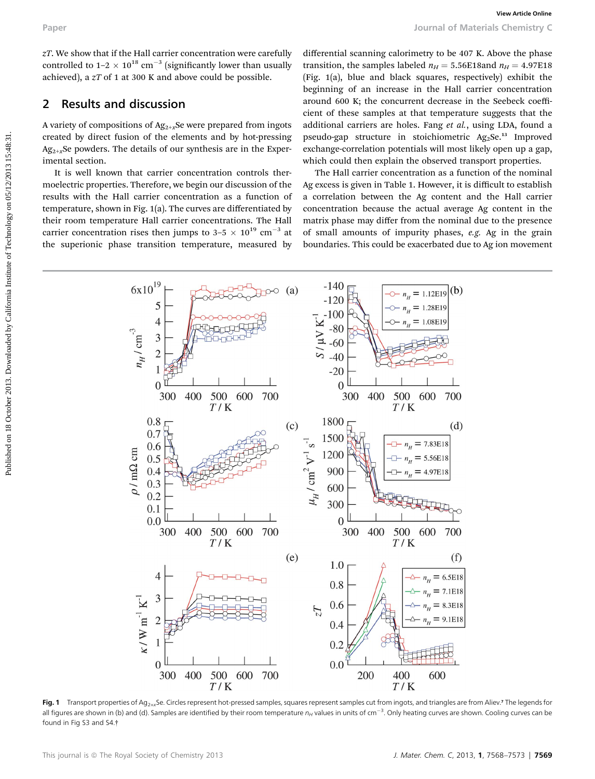$zT$ . We show that if the Hall carrier concentration were carefully controlled to  $1-2 \times 10^{18}$  cm<sup>-3</sup> (significantly lower than usually achieved), a zT of 1 at 300 K and above could be possible.

### 2 Results and discussion

A variety of compositions of  $Ag_{2+x}$ Se were prepared from ingots created by direct fusion of the elements and by hot-pressing  $Ag_{2+x}$ Se powders. The details of our synthesis are in the Experimental section.

It is well known that carrier concentration controls thermoelectric properties. Therefore, we begin our discussion of the results with the Hall carrier concentration as a function of temperature, shown in Fig. 1(a). The curves are differentiated by their room temperature Hall carrier concentrations. The Hall carrier concentration rises then jumps to  $3-5 \times 10^{19}$  cm<sup>-3</sup> at the superionic phase transition temperature, measured by

differential scanning calorimetry to be 407 K. Above the phase transition, the samples labeled  $n_H = 5.56E18$ and  $n_H = 4.97E18$ (Fig. 1(a), blue and black squares, respectively) exhibit the beginning of an increase in the Hall carrier concentration around 600 K; the concurrent decrease in the Seebeck coefficient of these samples at that temperature suggests that the additional carriers are holes. Fang et al., using LDA, found a pseudo-gap structure in stoichiometric  $Ag_2Se^{13}$  Improved exchange-correlation potentials will most likely open up a gap, which could then explain the observed transport properties.

The Hall carrier concentration as a function of the nominal Ag excess is given in Table 1. However, it is difficult to establish a correlation between the Ag content and the Hall carrier concentration because the actual average Ag content in the matrix phase may differ from the nominal due to the presence of small amounts of impurity phases, e.g. Ag in the grain boundaries. This could be exacerbated due to Ag ion movement



Fig. 1 Transport properties of Ag<sub>2+x</sub>Se. Circles represent hot-pressed samples, squares represent samples cut from ingots, and triangles are from Aliev.<sup>7</sup> The legends for all figures are shown in (b) and (d). Samples are identified by their room temperature  $n_H$  values in units of cm<sup>-3</sup>. Only heating curves are shown. Cooling curves can be found in Fig S3 and S4.†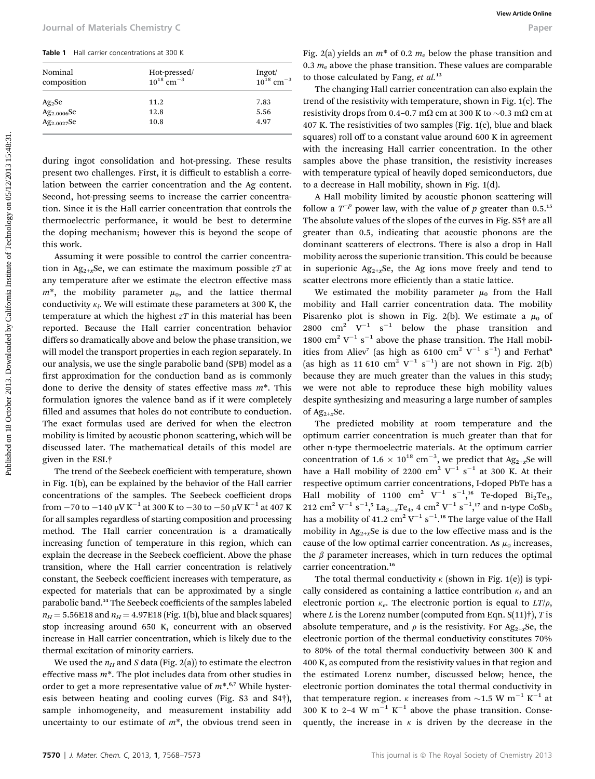| Nominal<br>composition | Hot-pressed/<br>$10^{18}$ cm <sup>-3</sup> | Ingot/<br>$10^{18}$ cm <sup>-3</sup> |
|------------------------|--------------------------------------------|--------------------------------------|
| $Ag_2Se$               | 11.2                                       | 7.83                                 |
| $Ag_{2.0006}Se$        | 12.8                                       | 5.56                                 |
| $Ag_{2.0027}Se$        | 10.8                                       | 4.97                                 |

during ingot consolidation and hot-pressing. These results present two challenges. First, it is difficult to establish a correlation between the carrier concentration and the Ag content. Second, hot-pressing seems to increase the carrier concentration. Since it is the Hall carrier concentration that controls the thermoelectric performance, it would be best to determine the doping mechanism; however this is beyond the scope of this work.

Assuming it were possible to control the carrier concentration in Ag<sub>2+x</sub>Se, we can estimate the maximum possible  $zT$  at any temperature after we estimate the electron effective mass  $m^*$ , the mobility parameter  $\mu_0$ , and the lattice thermal conductivity  $\kappa_l$ . We will estimate these parameters at 300 K, the temperature at which the highest  $zT$  in this material has been reported. Because the Hall carrier concentration behavior differs so dramatically above and below the phase transition, we will model the transport properties in each region separately. In our analysis, we use the single parabolic band (SPB) model as a first approximation for the conduction band as is commonly done to derive the density of states effective mass  $m^*$ . This formulation ignores the valence band as if it were completely filled and assumes that holes do not contribute to conduction. The exact formulas used are derived for when the electron mobility is limited by acoustic phonon scattering, which will be discussed later. The mathematical details of this model are given in the ESI.† Four and of Materials Chemistry C<br> **These** the constrained by California Theorem and The California Institute of Technology on The Constrained By California Institute of Technology on the Constrained by Temperature of Tec

The trend of the Seebeck coefficient with temperature, shown in Fig. 1(b), can be explained by the behavior of the Hall carrier concentrations of the samples. The Seebeck coefficient drops from  $-70$  to  $-140 \mu$ V K<sup>-1</sup> at 300 K to  $-30$  to  $-50 \mu$ V K<sup>-1</sup> at 407 K for all samples regardless of starting composition and processing method. The Hall carrier concentration is a dramatically increasing function of temperature in this region, which can explain the decrease in the Seebeck coefficient. Above the phase transition, where the Hall carrier concentration is relatively constant, the Seebeck coefficient increases with temperature, as expected for materials that can be approximated by a single parabolic band.<sup>14</sup> The Seebeck coefficients of the samples labeled  $n_H = 5.56E18$  and  $n_H = 4.97E18$  (Fig. 1(b), blue and black squares) stop increasing around 650 K, concurrent with an observed increase in Hall carrier concentration, which is likely due to the thermal excitation of minority carriers.

We used the  $n_H$  and S data (Fig. 2(a)) to estimate the electron effective mass  $m^*$ . The plot includes data from other studies in order to get a more representative value of  $m^*$ .<sup>6,7</sup> While hysteresis between heating and cooling curves (Fig. S3 and S4†), sample inhomogeneity, and measurement instability add uncertainty to our estimate of  $m^*$ , the obvious trend seen in Fig. 2(a) yields an  $m^*$  of 0.2  $m_e$  below the phase transition and 0.3  $m_e$  above the phase transition. These values are comparable to those calculated by Fang,  $et$   $al.^{13}$ 

The changing Hall carrier concentration can also explain the trend of the resistivity with temperature, shown in Fig. 1(c). The resistivity drops from 0.4–0.7 m $\Omega$  cm at 300 K to ~0.3 m $\Omega$  cm at 407 K. The resistivities of two samples (Fig. 1(c), blue and black squares) roll off to a constant value around 600 K in agreement with the increasing Hall carrier concentration. In the other samples above the phase transition, the resistivity increases with temperature typical of heavily doped semiconductors, due to a decrease in Hall mobility, shown in Fig. 1(d).

A Hall mobility limited by acoustic phonon scattering will follow a  $T^{-p}$  power law, with the value of p greater than 0.5.<sup>15</sup> The absolute values of the slopes of the curves in Fig. S5† are all greater than 0.5, indicating that acoustic phonons are the dominant scatterers of electrons. There is also a drop in Hall mobility across the superionic transition. This could be because in superionic  $Ag_{2+x}Se$ , the Ag ions move freely and tend to scatter electrons more efficiently than a static lattice.

We estimated the mobility parameter  $\mu_0$  from the Hall mobility and Hall carrier concentration data. The mobility Pisarenko plot is shown in Fig. 2(b). We estimate a  $\mu_0$  of 2800  $\text{cm}^2$  V<sup>-1</sup> s<sup>-1</sup> below the phase transition and 1800 cm<sup>2</sup> V<sup>-1</sup> s<sup>-1</sup> above the phase transition. The Hall mobilities from Aliev<sup>7</sup> (as high as 6100 cm<sup>2</sup> V<sup>-1</sup> s<sup>-1</sup>) and Ferhat<sup>e</sup> (as high as 11 610 cm<sup>2</sup> V<sup>-1</sup> s<sup>-1</sup>) are not shown in Fig. 2(b) because they are much greater than the values in this study; we were not able to reproduce these high mobility values despite synthesizing and measuring a large number of samples of  $Ag_{2+x}Se$ .

The predicted mobility at room temperature and the optimum carrier concentration is much greater than that for other n-type thermoelectric materials. At the optimum carrier concentration of 1.6  $\times$  10<sup>18</sup> cm<sup>-3</sup>, we predict that Ag<sub>2+x</sub>Se will have a Hall mobility of 2200  $\text{cm}^2$  V<sup>-1</sup> s<sup>-1</sup> at 300 K. At their respective optimum carrier concentrations, I-doped PbTe has a Hall mobility of 1100  $\text{cm}^2$  V<sup>-1</sup> s<sup>-1</sup>,<sup>16</sup> Te-doped Bi<sub>2</sub>Te<sub>3</sub>, 212 cm<sup>2</sup> V<sup>-1</sup> s<sup>-1</sup>,<sup>5</sup> La<sub>3-x</sub>Te<sub>4</sub>, 4 cm<sup>2</sup> V<sup>-1</sup> s<sup>-1</sup>,<sup>17</sup> and n-type CoSb<sub>3</sub> has a mobility of 41.2  $\text{cm}^2 \, \text{V}^{-1} \, \text{s}^{-1}$ .<sup>18</sup> The large value of the Hall mobility in  $Ag_{2+x}$ Se is due to the low effective mass and is the cause of the low optimal carrier concentration. As  $\mu_0$  increases, the  $\beta$  parameter increases, which in turn reduces the optimal carrier concentration.<sup>16</sup>

The total thermal conductivity  $\kappa$  (shown in Fig. 1(e)) is typically considered as containing a lattice contribution  $\kappa_l$  and an electronic portion  $\kappa_e$ . The electronic portion is equal to  $LT/\rho$ , where L is the Lorenz number (computed from Eqn.  $S(11)$ †), T is absolute temperature, and  $\rho$  is the resistivity. For Ag<sub>2+x</sub>Se, the electronic portion of the thermal conductivity constitutes 70% to 80% of the total thermal conductivity between 300 K and 400 K, as computed from the resistivity values in that region and the estimated Lorenz number, discussed below; hence, the electronic portion dominates the total thermal conductivity in that temperature region.  $\kappa$  increases from  $\sim$ 1.5 W m<sup>-1</sup> K<sup>-1</sup> at 300 K to 2–4 W  $m^{-1}$  K<sup>-1</sup> above the phase transition. Consequently, the increase in  $\kappa$  is driven by the decrease in the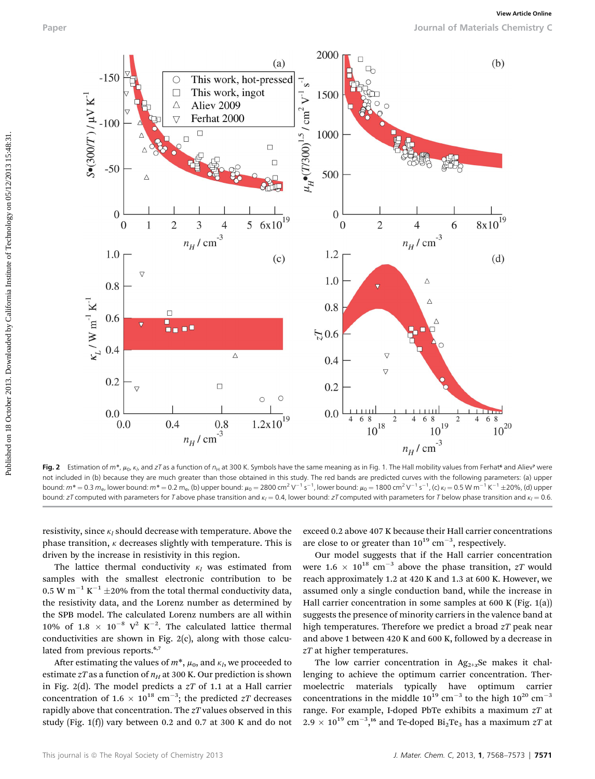Paper Journal of Materials Chemistry C



**Fig. 2** Estimation of  $m$ \*,  $\mu_0$ ,  $\kappa_l$ , and zT as a function of  $n_{\sf H}$  at 300 K. Symbols have the same meaning as in Fig. 1. The Hall mobility values from Ferhat<sup>e</sup> and Aliev<sup>7</sup> were not included in (b) because they are much greater than those obtained in this study. The red bands are predicted curves with the following parameters: (a) upper bound:  $m^* = 0.3$   $m_{\rm e}$ , lower bound:  $m^* = 0.2$   $m_{\rm e}$ , (b) upper bound:  $\mu_0 = 2800$  cm<sup>2</sup>  $\rm V^{-1}$  s<sup>-1</sup>, lower bound:  $\mu_0 = 1800$  cm<sup>2</sup>  $\rm V^{-1}$  s<sup>-1</sup>, (c)  $\kappa_l = 0.5$  W m<sup>-1</sup> K<sup>-1</sup>  $\pm$ 20%, (d) upper bound: zT computed with parameters for T above phase transition and  $k_l = 0.4$ , lower bound: zT computed with parameters for T below phase transition and  $k_l = 0.6$ .

resistivity, since  $\kappa_l$  should decrease with temperature. Above the phase transition,  $\kappa$  decreases slightly with temperature. This is driven by the increase in resistivity in this region.

The lattice thermal conductivity  $\kappa_l$  was estimated from samples with the smallest electronic contribution to be 0.5 W  $\text{m}^{-1}$  K<sup>-1</sup>  $\pm$ 20% from the total thermal conductivity data, the resistivity data, and the Lorenz number as determined by the SPB model. The calculated Lorenz numbers are all within 10% of 1.8  $\times$  10<sup>-8</sup> V<sup>2</sup> K<sup>-2</sup>. The calculated lattice thermal conductivities are shown in Fig. 2(c), along with those calculated from previous reports.<sup>6,7</sup>

After estimating the values of  $m^*$ ,  $\mu_0$ , and  $\kappa_l$ , we proceeded to estimate zT as a function of  $n_H$  at 300 K. Our prediction is shown in Fig. 2(d). The model predicts a  $zT$  of 1.1 at a Hall carrier concentration of 1.6  $\times$  10<sup>18</sup> cm<sup>-3</sup>; the predicted zT decreases rapidly above that concentration. The  $zT$  values observed in this study (Fig. 1(f)) vary between 0.2 and 0.7 at 300 K and do not exceed 0.2 above 407 K because their Hall carrier concentrations are close to or greater than  $10^{19}$  cm<sup>-3</sup>, respectively.

Our model suggests that if the Hall carrier concentration were 1.6  $\times$  10<sup>18</sup> cm<sup>-3</sup> above the phase transition, zT would reach approximately 1.2 at 420 K and 1.3 at 600 K. However, we assumed only a single conduction band, while the increase in Hall carrier concentration in some samples at 600 K (Fig. 1(a)) suggests the presence of minority carriers in the valence band at high temperatures. Therefore we predict a broad  $zT$  peak near and above 1 between 420 K and 600 K, followed by a decrease in zT at higher temperatures.

The low carrier concentration in  $Ag_{2+x}Se$  makes it challenging to achieve the optimum carrier concentration. Thermoelectric materials typically have optimum carrier concentrations in the middle  $10^{19}$  cm<sup>-3</sup> to the high  $10^{20}$  cm<sup>-3</sup> range. For example, I-doped PbTe exhibits a maximum  $zT$  at  $2.9 \times 10^{19}$  cm<sup>-3</sup>,<sup>16</sup> and Te-doped Bi<sub>2</sub>Te<sub>3</sub> has a maximum zT at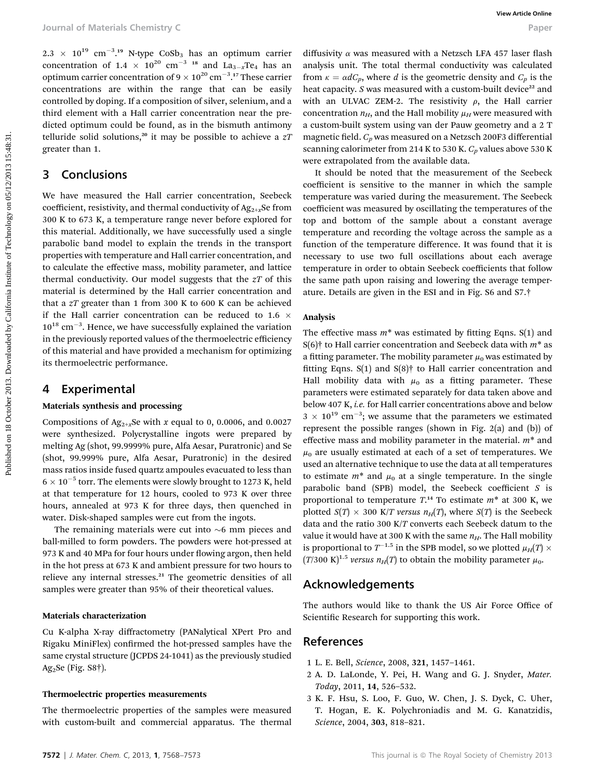$2.3 \times 10^{19} \text{ cm}^{-3}$ .<sup>19</sup> N-type CoSb<sub>3</sub> has an optimum carrier concentration of 1.4  $\times$  10<sup>20</sup> cm<sup>-3</sup> <sup>18</sup> and La<sub>3-x</sub>Te<sub>4</sub> has an optimum carrier concentration of  $9 \times 10^{20}$  cm<sup>-3</sup>.<sup>17</sup> These carrier concentrations are within the range that can be easily controlled by doping. If a composition of silver, selenium, and a third element with a Hall carrier concentration near the predicted optimum could be found, as in the bismuth antimony telluride solid solutions,<sup>20</sup> it may be possible to achieve a  $zT$ greater than 1.

#### 3 Conclusions

We have measured the Hall carrier concentration, Seebeck coefficient, resistivity, and thermal conductivity of  $Ag_{2+x}Se$  from 300 K to 673 K, a temperature range never before explored for this material. Additionally, we have successfully used a single parabolic band model to explain the trends in the transport properties with temperature and Hall carrier concentration, and to calculate the effective mass, mobility parameter, and lattice thermal conductivity. Our model suggests that the  $zT$  of this material is determined by the Hall carrier concentration and that a  $zT$  greater than 1 from 300 K to 600 K can be achieved if the Hall carrier concentration can be reduced to 1.6  $\times$  $10^{18}$  cm<sup>-3</sup>. Hence, we have successfully explained the variation in the previously reported values of the thermoelectric efficiency of this material and have provided a mechanism for optimizing its thermoelectric performance. Pour al of Materials Chemistry Cooks, has an optimize onder diffusivity ones measured with a New Top Research to Cook has an optimize on the state of the powerformial operator of View of California Chemistron (View Article

#### 4 Experimental

#### Materials synthesis and processing

Compositions of  $Ag_{2+x}$ Se with x equal to 0, 0.0006, and 0.0027 were synthesized. Polycrystalline ingots were prepared by melting Ag (shot, 99.9999% pure, Alfa Aesar, Puratronic) and Se (shot, 99.999% pure, Alfa Aesar, Puratronic) in the desired mass ratios inside fused quartz ampoules evacuated to less than  $6 \times 10^{-5}$  torr. The elements were slowly brought to 1273 K, held at that temperature for 12 hours, cooled to 973 K over three hours, annealed at 973 K for three days, then quenched in water. Disk-shaped samples were cut from the ingots.

The remaining materials were cut into  $~6$  mm pieces and ball-milled to form powders. The powders were hot-pressed at 973 K and 40 MPa for four hours under flowing argon, then held in the hot press at 673 K and ambient pressure for two hours to relieve any internal stresses.<sup>21</sup> The geometric densities of all samples were greater than 95% of their theoretical values.

#### Materials characterization

Cu K-alpha X-ray diffractometry (PANalytical XPert Pro and Rigaku MiniFlex) confirmed the hot-pressed samples have the same crystal structure (JCPDS 24-1041) as the previously studied Ag<sub>2</sub>Se (Fig.  $S8\dagger$ ).

#### Thermoelectric properties measurements

The thermoelectric properties of the samples were measured with custom-built and commercial apparatus. The thermal

diffusivity  $\alpha$  was measured with a Netzsch LFA 457 laser flash analysis unit. The total thermal conductivity was calculated from  $\kappa = \alpha dC_p$ , where d is the geometric density and  $C_p$  is the heat capacity.  $S$  was measured with a custom-built device<sup>22</sup> and with an ULVAC ZEM-2. The resistivity  $\rho$ , the Hall carrier concentration  $n_H$ , and the Hall mobility  $\mu_H$  were measured with a custom-built system using van der Pauw geometry and a 2 T magnetic field.  $C_p$  was measured on a Netzsch 200F3 differential scanning calorimeter from 214 K to 530 K.  $C_p$  values above 530 K were extrapolated from the available data.

It should be noted that the measurement of the Seebeck coefficient is sensitive to the manner in which the sample temperature was varied during the measurement. The Seebeck coefficient was measured by oscillating the temperatures of the top and bottom of the sample about a constant average temperature and recording the voltage across the sample as a function of the temperature difference. It was found that it is necessary to use two full oscillations about each average temperature in order to obtain Seebeck coefficients that follow the same path upon raising and lowering the average temperature. Details are given in the ESI and in Fig. S6 and S7.†

#### Analysis

The effective mass  $m^*$  was estimated by fitting Eqns. S(1) and S(6)<sup>†</sup> to Hall carrier concentration and Seebeck data with  $m^*$  as a fitting parameter. The mobility parameter  $\mu_0$  was estimated by fitting Eqns.  $S(1)$  and  $S(8)$ <sup>†</sup> to Hall carrier concentration and Hall mobility data with  $\mu_0$  as a fitting parameter. These parameters were estimated separately for data taken above and below 407 K, i.e. for Hall carrier concentrations above and below  $3 \times 10^{19}$  cm<sup>-3</sup>; we assume that the parameters we estimated represent the possible ranges (shown in Fig. 2(a) and (b)) of effective mass and mobility parameter in the material.  $m^*$  and  $\mu_0$  are usually estimated at each of a set of temperatures. We used an alternative technique to use the data at all temperatures to estimate  $m^*$  and  $\mu_0$  at a single temperature. In the single parabolic band (SPB) model, the Seebeck coefficient  $S$  is proportional to temperature  $T<sup>14</sup>$  To estimate  $m^*$  at 300 K, we plotted  $S(T) \times 300$  K/T versus  $n_H(T)$ , where  $S(T)$  is the Seebeck data and the ratio 300 K/T converts each Seebeck datum to the value it would have at 300 K with the same  $n_H$ . The Hall mobility is proportional to  $T^{-1.5}$  in the SPB model, so we plotted  $\mu_H(T) \times$  $(T/300 \text{ K})^{1.5}$  versus  $n_H(T)$  to obtain the mobility parameter  $\mu_0$ .

#### Acknowledgements

The authors would like to thank the US Air Force Office of Scientific Research for supporting this work.

#### References

- 1 L. E. Bell, Science, 2008, 321, 1457–1461.
- 2 A. D. LaLonde, Y. Pei, H. Wang and G. J. Snyder, Mater. Today, 2011, 14, 526–532.
- 3 K. F. Hsu, S. Loo, F. Guo, W. Chen, J. S. Dyck, C. Uher, T. Hogan, E. K. Polychroniadis and M. G. Kanatzidis, Science, 2004, 303, 818–821.